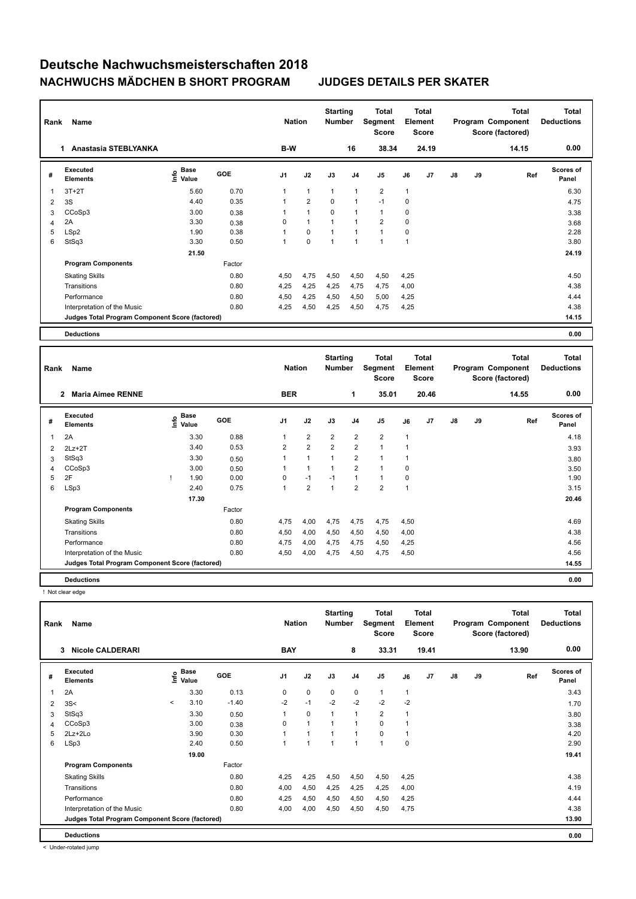| Rank           | Name                                            |                                  |            | <b>Nation</b>  |                | <b>Starting</b><br><b>Number</b> |                | <b>Total</b><br>Segment<br><b>Score</b> |              | <b>Total</b><br>Element<br><b>Score</b> |               |    | <b>Total</b><br>Program Component<br>Score (factored) | <b>Total</b><br><b>Deductions</b> |
|----------------|-------------------------------------------------|----------------------------------|------------|----------------|----------------|----------------------------------|----------------|-----------------------------------------|--------------|-----------------------------------------|---------------|----|-------------------------------------------------------|-----------------------------------|
|                | Anastasia STEBLYANKA<br>1.                      |                                  |            | B-W            |                |                                  | 16             | 38.34                                   |              | 24.19                                   |               |    | 14.15                                                 | 0.00                              |
| #              | Executed<br><b>Elements</b>                     | <b>Base</b><br>e Base<br>⊆ Value | <b>GOE</b> | J <sub>1</sub> | J2             | J3                               | J <sub>4</sub> | J <sub>5</sub>                          | J6           | J7                                      | $\mathsf{J}8$ | J9 | Ref                                                   | <b>Scores of</b><br>Panel         |
| 1              | $3T+2T$                                         | 5.60                             | 0.70       | 1              | $\mathbf{1}$   | $\overline{1}$                   | $\mathbf{1}$   | $\overline{2}$                          | $\mathbf{1}$ |                                         |               |    |                                                       | 6.30                              |
| $\overline{2}$ | 3S                                              | 4.40                             | 0.35       |                | $\overline{2}$ | 0                                | $\mathbf{1}$   | $-1$                                    | 0            |                                         |               |    |                                                       | 4.75                              |
| 3              | CCoSp3                                          | 3.00                             | 0.38       |                | 1              | 0                                |                | $\mathbf{1}$                            | 0            |                                         |               |    |                                                       | 3.38                              |
| 4              | 2A                                              | 3.30                             | 0.38       | 0              | $\mathbf{1}$   |                                  | $\mathbf{1}$   | $\overline{2}$                          | $\mathbf 0$  |                                         |               |    |                                                       | 3.68                              |
| 5              | LSp2                                            | 1.90                             | 0.38       |                | $\mathbf 0$    |                                  |                | $\mathbf{1}$                            | $\Omega$     |                                         |               |    |                                                       | 2.28                              |
| 6              | StSq3                                           | 3.30                             | 0.50       | 1              | $\mathbf 0$    |                                  | 1              | $\mathbf{1}$                            | 1            |                                         |               |    |                                                       | 3.80                              |
|                |                                                 | 21.50                            |            |                |                |                                  |                |                                         |              |                                         |               |    |                                                       | 24.19                             |
|                | <b>Program Components</b>                       |                                  | Factor     |                |                |                                  |                |                                         |              |                                         |               |    |                                                       |                                   |
|                | <b>Skating Skills</b>                           |                                  | 0.80       | 4,50           | 4,75           | 4,50                             | 4,50           | 4,50                                    | 4,25         |                                         |               |    |                                                       | 4.50                              |
|                | Transitions                                     |                                  | 0.80       | 4,25           | 4,25           | 4,25                             | 4,75           | 4,75                                    | 4,00         |                                         |               |    |                                                       | 4.38                              |
|                | Performance                                     |                                  | 0.80       | 4,50           | 4,25           | 4,50                             | 4,50           | 5,00                                    | 4,25         |                                         |               |    |                                                       | 4.44                              |
|                | Interpretation of the Music                     |                                  | 0.80       | 4,25           | 4,50           | 4,25                             | 4,50           | 4,75                                    | 4,25         |                                         |               |    |                                                       | 4.38                              |
|                | Judges Total Program Component Score (factored) |                                  |            |                |                |                                  |                |                                         |              |                                         |               |    |                                                       | 14.15                             |
|                | <b>Deductions</b>                               |                                  |            |                |                |                                  |                |                                         |              |                                         |               |    |                                                       | 0.00                              |

| Rank | Name<br><b>Maria Aimee RENNE</b><br>$\overline{2}$ |  |                                             |            | <b>Nation</b>  |                | <b>Starting</b><br><b>Number</b> |                | <b>Total</b><br>Segment<br><b>Score</b> |                | <b>Total</b><br>Element<br><b>Score</b> |    |    | <b>Total</b><br>Program Component<br>Score (factored) | Total<br><b>Deductions</b> |
|------|----------------------------------------------------|--|---------------------------------------------|------------|----------------|----------------|----------------------------------|----------------|-----------------------------------------|----------------|-----------------------------------------|----|----|-------------------------------------------------------|----------------------------|
|      |                                                    |  |                                             |            | <b>BER</b>     |                |                                  | 1              | 35.01                                   |                | 20.46                                   |    |    | 14.55                                                 | 0.00                       |
| #    | Executed<br><b>Elements</b>                        |  | <b>Base</b><br>e <sup>Base</sup><br>⊆ Value | <b>GOE</b> | J <sub>1</sub> | J2             | J3                               | J <sub>4</sub> | J5                                      | J6             | J7                                      | J8 | J9 | Ref                                                   | <b>Scores of</b><br>Panel  |
| 1    | 2A                                                 |  | 3.30                                        | 0.88       |                | $\overline{2}$ | $\overline{2}$                   | $\overline{2}$ | $\overline{2}$                          | 1              |                                         |    |    |                                                       | 4.18                       |
| 2    | $2Lz+2T$                                           |  | 3.40                                        | 0.53       | $\overline{2}$ | $\overline{2}$ | $\overline{2}$                   | $\overline{2}$ | $\mathbf{1}$                            |                |                                         |    |    |                                                       | 3.93                       |
| 3    | StSq3                                              |  | 3.30                                        | 0.50       |                | $\overline{1}$ | $\overline{1}$                   | $\overline{2}$ | 1                                       |                |                                         |    |    |                                                       | 3.80                       |
| 4    | CCoSp3                                             |  | 3.00                                        | 0.50       |                | $\overline{1}$ |                                  | $\overline{2}$ | $\mathbf{1}$                            | $\mathbf 0$    |                                         |    |    |                                                       | 3.50                       |
| 5    | 2F                                                 |  | 1.90                                        | 0.00       | 0              | $-1$           | $-1$                             | $\mathbf{1}$   | $\mathbf{1}$                            | 0              |                                         |    |    |                                                       | 1.90                       |
| 6    | LSp3                                               |  | 2.40                                        | 0.75       | 1              | $\overline{2}$ | $\overline{1}$                   | $\overline{2}$ | $\overline{2}$                          | $\overline{1}$ |                                         |    |    |                                                       | 3.15                       |
|      |                                                    |  | 17.30                                       |            |                |                |                                  |                |                                         |                |                                         |    |    |                                                       | 20.46                      |
|      | <b>Program Components</b>                          |  |                                             | Factor     |                |                |                                  |                |                                         |                |                                         |    |    |                                                       |                            |
|      | <b>Skating Skills</b>                              |  |                                             | 0.80       | 4,75           | 4,00           | 4,75                             | 4,75           | 4,75                                    | 4,50           |                                         |    |    |                                                       | 4.69                       |
|      | Transitions                                        |  |                                             | 0.80       | 4,50           | 4,00           | 4,50                             | 4,50           | 4,50                                    | 4,00           |                                         |    |    |                                                       | 4.38                       |
|      | Performance                                        |  |                                             | 0.80       | 4.75           | 4,00           | 4.75                             | 4,75           | 4,50                                    | 4,25           |                                         |    |    |                                                       | 4.56                       |
|      | Interpretation of the Music                        |  |                                             | 0.80       | 4,50           | 4,00           | 4,75                             | 4,50           | 4,75                                    | 4,50           |                                         |    |    |                                                       | 4.56                       |
|      | Judges Total Program Component Score (factored)    |  |                                             |            |                |                |                                  |                |                                         |                |                                         |    |    |                                                       | 14.55                      |
|      | <b>Deductions</b>                                  |  |                                             |            |                |                |                                  |                |                                         |                |                                         |    |    |                                                       | 0.00                       |

! Not clear edge

| Rank           | Name<br><b>Nicole CALDERARI</b><br>3            |         |                             |            |                | <b>Nation</b>  | <b>Starting</b><br><b>Number</b> |                | <b>Total</b><br>Segment<br><b>Score</b> |             | <b>Total</b><br>Element<br><b>Score</b> |               |    | Total<br>Program Component<br>Score (factored) | <b>Total</b><br><b>Deductions</b> |
|----------------|-------------------------------------------------|---------|-----------------------------|------------|----------------|----------------|----------------------------------|----------------|-----------------------------------------|-------------|-----------------------------------------|---------------|----|------------------------------------------------|-----------------------------------|
|                |                                                 |         |                             |            | <b>BAY</b>     |                |                                  | 8              | 33.31                                   |             | 19.41                                   |               |    | 13.90                                          | 0.00                              |
| #              | Executed<br><b>Elements</b>                     |         | Base<br>$\frac{6}{5}$ Value | <b>GOE</b> | J <sub>1</sub> | J2             | J3                               | J <sub>4</sub> | J <sub>5</sub>                          | J6          | J7                                      | $\mathsf{J}8$ | J9 | Ref                                            | <b>Scores of</b><br>Panel         |
| $\mathbf{1}$   | 2A                                              |         | 3.30                        | 0.13       | 0              | $\mathbf 0$    | $\mathbf 0$                      | $\mathbf 0$    | $\mathbf{1}$                            | 1           |                                         |               |    |                                                | 3.43                              |
| $\overline{2}$ | 3S<                                             | $\prec$ | 3.10                        | $-1.40$    | $-2$           | $-1$           | $-2$                             | $-2$           | $-2$                                    | $-2$        |                                         |               |    |                                                | 1.70                              |
| 3              | StSq3                                           |         | 3.30                        | 0.50       |                | 0              | $\overline{1}$                   | $\overline{1}$ | $\overline{2}$                          | 1           |                                         |               |    |                                                | 3.80                              |
| 4              | CCoSp3                                          |         | 3.00                        | 0.38       | 0              | $\overline{1}$ | $\overline{1}$                   | $\overline{1}$ | $\mathbf 0$                             | -1          |                                         |               |    |                                                | 3.38                              |
| 5              | 2Lz+2Lo                                         |         | 3.90                        | 0.30       |                | $\overline{1}$ | $\overline{1}$                   | $\overline{1}$ | $\mathbf 0$                             | 1           |                                         |               |    |                                                | 4.20                              |
| 6              | LSp3                                            |         | 2.40                        | 0.50       | 1              | $\overline{1}$ | $\overline{1}$                   | $\overline{1}$ | 1                                       | $\mathbf 0$ |                                         |               |    |                                                | 2.90                              |
|                |                                                 |         | 19.00                       |            |                |                |                                  |                |                                         |             |                                         |               |    |                                                | 19.41                             |
|                | <b>Program Components</b>                       |         |                             | Factor     |                |                |                                  |                |                                         |             |                                         |               |    |                                                |                                   |
|                | <b>Skating Skills</b>                           |         |                             | 0.80       | 4,25           | 4,25           | 4,50                             | 4,50           | 4,50                                    | 4,25        |                                         |               |    |                                                | 4.38                              |
|                | Transitions                                     |         |                             | 0.80       | 4,00           | 4,50           | 4,25                             | 4,25           | 4,25                                    | 4,00        |                                         |               |    |                                                | 4.19                              |
|                | Performance                                     |         |                             | 0.80       | 4,25           | 4,50           | 4,50                             | 4,50           | 4,50                                    | 4,25        |                                         |               |    |                                                | 4.44                              |
|                | Interpretation of the Music                     |         |                             | 0.80       | 4,00           | 4,00           | 4,50                             | 4,50           | 4,50                                    | 4,75        |                                         |               |    |                                                | 4.38                              |
|                | Judges Total Program Component Score (factored) |         |                             |            |                |                |                                  |                |                                         |             |                                         |               |    |                                                | 13.90                             |
|                | <b>Deductions</b>                               |         |                             |            |                |                |                                  |                |                                         |             |                                         |               |    |                                                | 0.00                              |

< Under-rotated jump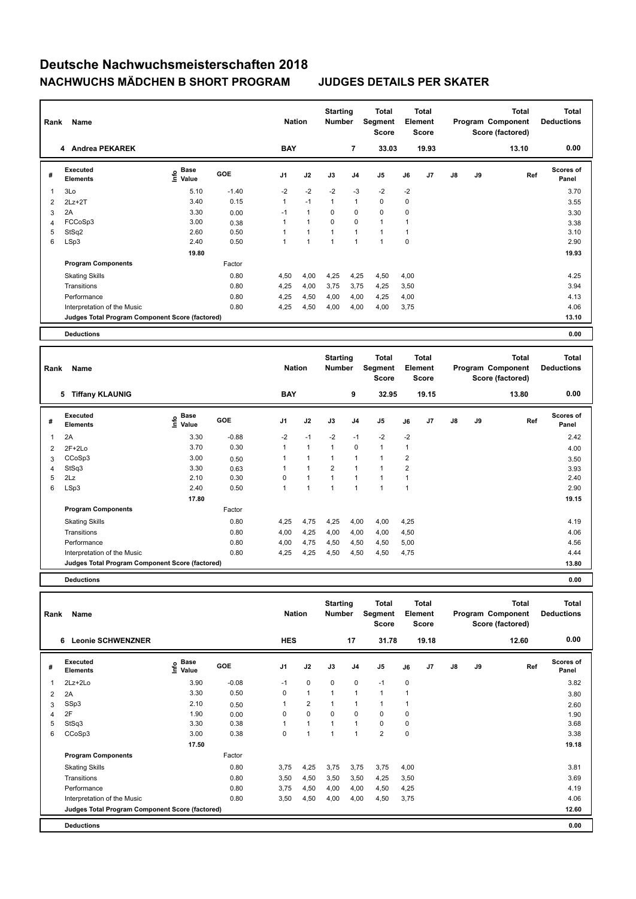| Rank                    | Name<br>4 Andrea PEKAREK                        |                       |            | <b>Nation</b>  |                | <b>Starting</b><br><b>Number</b> |                          | <b>Total</b><br>Segment<br><b>Score</b> | Element | <b>Total</b><br><b>Score</b> |               |    | <b>Total</b><br>Program Component<br>Score (factored) | <b>Total</b><br><b>Deductions</b> |
|-------------------------|-------------------------------------------------|-----------------------|------------|----------------|----------------|----------------------------------|--------------------------|-----------------------------------------|---------|------------------------------|---------------|----|-------------------------------------------------------|-----------------------------------|
|                         |                                                 |                       |            | <b>BAY</b>     |                |                                  | $\overline{7}$           | 33.03                                   |         | 19.93                        |               |    | 13.10                                                 | 0.00                              |
| #                       | Executed<br><b>Elements</b>                     | Base<br>lnfo<br>Value | <b>GOE</b> | J <sub>1</sub> | J2             | J3                               | J <sub>4</sub>           | J5                                      | J6      | J7                           | $\mathsf{J}8$ | J9 | Ref                                                   | <b>Scores of</b><br>Panel         |
| $\overline{\mathbf{1}}$ | 3Lo                                             | 5.10                  | $-1.40$    | $-2$           | $-2$           | $-2$                             | $-3$                     | $-2$                                    | $-2$    |                              |               |    |                                                       | 3.70                              |
| 2                       | $2Lz+2T$                                        | 3.40                  | 0.15       | 1              | $-1$           | $\mathbf{1}$                     | $\mathbf{1}$             | $\mathbf 0$                             | 0       |                              |               |    |                                                       | 3.55                              |
| 3                       | 2A                                              | 3.30                  | 0.00       | $-1$           | $\mathbf{1}$   | 0                                | 0                        | $\pmb{0}$                               | 0       |                              |               |    |                                                       | 3.30                              |
| 4                       | FCCoSp3                                         | 3.00                  | 0.38       |                | $\overline{1}$ | $\Omega$                         | $\mathbf 0$              | $\blacktriangleleft$                    | 1       |                              |               |    |                                                       | 3.38                              |
| 5                       | StSq2                                           | 2.60                  | 0.50       |                | 1              |                                  | $\overline{1}$           | $\blacktriangleleft$                    | 1       |                              |               |    |                                                       | 3.10                              |
| 6                       | LSp3                                            | 2.40                  | 0.50       |                | 1              | 1                                | $\overline{\phantom{a}}$ | 1                                       | 0       |                              |               |    |                                                       | 2.90                              |
|                         |                                                 | 19.80                 |            |                |                |                                  |                          |                                         |         |                              |               |    |                                                       | 19.93                             |
|                         | <b>Program Components</b>                       |                       | Factor     |                |                |                                  |                          |                                         |         |                              |               |    |                                                       |                                   |
|                         | <b>Skating Skills</b>                           |                       | 0.80       | 4,50           | 4,00           | 4,25                             | 4,25                     | 4,50                                    | 4,00    |                              |               |    |                                                       | 4.25                              |
|                         | Transitions                                     |                       | 0.80       | 4,25           | 4,00           | 3,75                             | 3,75                     | 4,25                                    | 3,50    |                              |               |    |                                                       | 3.94                              |
|                         | Performance                                     |                       | 0.80       | 4,25           | 4,50           | 4,00                             | 4,00                     | 4,25                                    | 4,00    |                              |               |    |                                                       | 4.13                              |
|                         | Interpretation of the Music                     |                       | 0.80       | 4,25           | 4,50           | 4,00                             | 4,00                     | 4,00                                    | 3,75    |                              |               |    |                                                       | 4.06                              |
|                         | Judges Total Program Component Score (factored) |                       |            |                |                |                                  |                          |                                         |         |                              |               |    |                                                       | 13.10                             |
|                         | <b>Deductions</b>                               |                       |            |                |                |                                  |                          |                                         |         |                              |               |    |                                                       | 0.00                              |

| Rank | Name<br><b>Tiffany KLAUNIG</b><br>5             |                                             |            | <b>Nation</b>  |                | <b>Starting</b><br><b>Number</b> |                | Total<br>Segment<br>Score |                | Total<br>Element<br>Score |               |    | <b>Total</b><br>Program Component<br>Score (factored) | Total<br><b>Deductions</b> |
|------|-------------------------------------------------|---------------------------------------------|------------|----------------|----------------|----------------------------------|----------------|---------------------------|----------------|---------------------------|---------------|----|-------------------------------------------------------|----------------------------|
|      |                                                 |                                             |            | <b>BAY</b>     |                |                                  | 9              | 32.95                     |                | 19.15                     |               |    | 13.80                                                 | 0.00                       |
| #    | <b>Executed</b><br><b>Elements</b>              | <b>Base</b><br>e <sup>Base</sup><br>⊆ Value | <b>GOE</b> | J <sub>1</sub> | J2             | J3                               | J <sub>4</sub> | J <sub>5</sub>            | J6             | J7                        | $\mathsf{J}8$ | J9 | Ref                                                   | <b>Scores of</b><br>Panel  |
| 1    | 2A                                              | 3.30                                        | $-0.88$    | $-2$           | $-1$           | $-2$                             | $-1$           | $-2$                      | $-2$           |                           |               |    |                                                       | 2.42                       |
| 2    | $2F+2Lo$                                        | 3.70                                        | 0.30       | 1              | $\mathbf{1}$   | 1                                | 0              | $\mathbf{1}$              | 1              |                           |               |    |                                                       | 4.00                       |
| 3    | CCoSp3                                          | 3.00                                        | 0.50       | 1              | $\mathbf{1}$   | 1                                | 1              | 1                         | $\overline{2}$ |                           |               |    |                                                       | 3.50                       |
| 4    | StSq3                                           | 3.30                                        | 0.63       | 1              | $\mathbf{1}$   | $\overline{2}$                   | 1              | 1                         | $\overline{2}$ |                           |               |    |                                                       | 3.93                       |
| 5    | 2Lz                                             | 2.10                                        | 0.30       | 0              | $\mathbf{1}$   | $\mathbf{1}$                     | $\overline{1}$ | 1                         | 1              |                           |               |    |                                                       | 2.40                       |
| 6    | LSp3                                            | 2.40                                        | 0.50       | 1              | $\overline{1}$ | 1                                | -1             | $\overline{1}$            | $\overline{1}$ |                           |               |    |                                                       | 2.90                       |
|      |                                                 | 17.80                                       |            |                |                |                                  |                |                           |                |                           |               |    |                                                       | 19.15                      |
|      | <b>Program Components</b>                       |                                             | Factor     |                |                |                                  |                |                           |                |                           |               |    |                                                       |                            |
|      | <b>Skating Skills</b>                           |                                             | 0.80       | 4,25           | 4,75           | 4,25                             | 4,00           | 4,00                      | 4,25           |                           |               |    |                                                       | 4.19                       |
|      | Transitions                                     |                                             | 0.80       | 4,00           | 4,25           | 4,00                             | 4,00           | 4,00                      | 4,50           |                           |               |    |                                                       | 4.06                       |
|      | Performance                                     |                                             | 0.80       | 4,00           | 4,75           | 4,50                             | 4,50           | 4,50                      | 5,00           |                           |               |    |                                                       | 4.56                       |
|      | Interpretation of the Music                     |                                             | 0.80       | 4,25           | 4,25           | 4,50                             | 4,50           | 4,50                      | 4,75           |                           |               |    |                                                       | 4.44                       |
|      | Judges Total Program Component Score (factored) |                                             |            |                |                |                                  |                |                           |                |                           |               |    |                                                       | 13.80                      |
|      | <b>Deductions</b>                               |                                             |            |                |                |                                  |                |                           |                |                           |               |    |                                                       | 0.00                       |

| Rank | Name                                            |                       |         | <b>Nation</b>  |                | <b>Starting</b><br><b>Number</b> |                | <b>Total</b><br>Segment<br>Score |             | <b>Total</b><br>Element<br><b>Score</b> |               |    | <b>Total</b><br>Program Component<br>Score (factored) | <b>Total</b><br><b>Deductions</b> |
|------|-------------------------------------------------|-----------------------|---------|----------------|----------------|----------------------------------|----------------|----------------------------------|-------------|-----------------------------------------|---------------|----|-------------------------------------------------------|-----------------------------------|
|      | <b>Leonie SCHWENZNER</b><br>6                   |                       |         | <b>HES</b>     |                |                                  | 17             | 31.78                            |             | 19.18                                   |               |    | 12.60                                                 | 0.00                              |
| #    | Executed<br><b>Elements</b>                     | $\sum_{i=1}^{n}$ Base | GOE     | J <sub>1</sub> | J2             | J3                               | J <sub>4</sub> | J <sub>5</sub>                   | J6          | J7                                      | $\mathsf{J}8$ | J9 | Ref                                                   | Scores of<br>Panel                |
| 1    | 2Lz+2Lo                                         | 3.90                  | $-0.08$ | $-1$           | $\mathbf 0$    | $\mathbf 0$                      | $\mathbf 0$    | $-1$                             | $\mathbf 0$ |                                         |               |    |                                                       | 3.82                              |
| 2    | 2A                                              | 3.30                  | 0.50    | 0              | $\mathbf{1}$   | 1                                | $\mathbf{1}$   | $\mathbf{1}$                     | 1           |                                         |               |    |                                                       | 3.80                              |
| 3    | SSp3                                            | 2.10                  | 0.50    |                | $\overline{2}$ |                                  |                | $\mathbf{1}$                     |             |                                         |               |    |                                                       | 2.60                              |
| 4    | 2F                                              | 1.90                  | 0.00    | 0              | $\mathbf 0$    | $\Omega$                         | 0              | 0                                | 0           |                                         |               |    |                                                       | 1.90                              |
| 5    | StSq3                                           | 3.30                  | 0.38    |                | $\overline{1}$ |                                  | 1              | 0                                | 0           |                                         |               |    |                                                       | 3.68                              |
| 6    | CCoSp3                                          | 3.00                  | 0.38    | 0              | $\overline{1}$ | 1                                | $\overline{1}$ | $\overline{2}$                   | 0           |                                         |               |    |                                                       | 3.38                              |
|      |                                                 | 17.50                 |         |                |                |                                  |                |                                  |             |                                         |               |    |                                                       | 19.18                             |
|      | <b>Program Components</b>                       |                       | Factor  |                |                |                                  |                |                                  |             |                                         |               |    |                                                       |                                   |
|      | <b>Skating Skills</b>                           |                       | 0.80    | 3,75           | 4,25           | 3,75                             | 3,75           | 3,75                             | 4,00        |                                         |               |    |                                                       | 3.81                              |
|      | Transitions                                     |                       | 0.80    | 3,50           | 4,50           | 3,50                             | 3,50           | 4,25                             | 3,50        |                                         |               |    |                                                       | 3.69                              |
|      | Performance                                     |                       | 0.80    | 3,75           | 4,50           | 4,00                             | 4,00           | 4,50                             | 4,25        |                                         |               |    |                                                       | 4.19                              |
|      | Interpretation of the Music                     |                       | 0.80    | 3,50           | 4,50           | 4,00                             | 4,00           | 4,50                             | 3,75        |                                         |               |    |                                                       | 4.06                              |
|      | Judges Total Program Component Score (factored) |                       |         |                |                |                                  |                |                                  |             |                                         |               |    |                                                       | 12.60                             |
|      | <b>Deductions</b>                               |                       |         |                |                |                                  |                |                                  |             |                                         |               |    |                                                       | 0.00                              |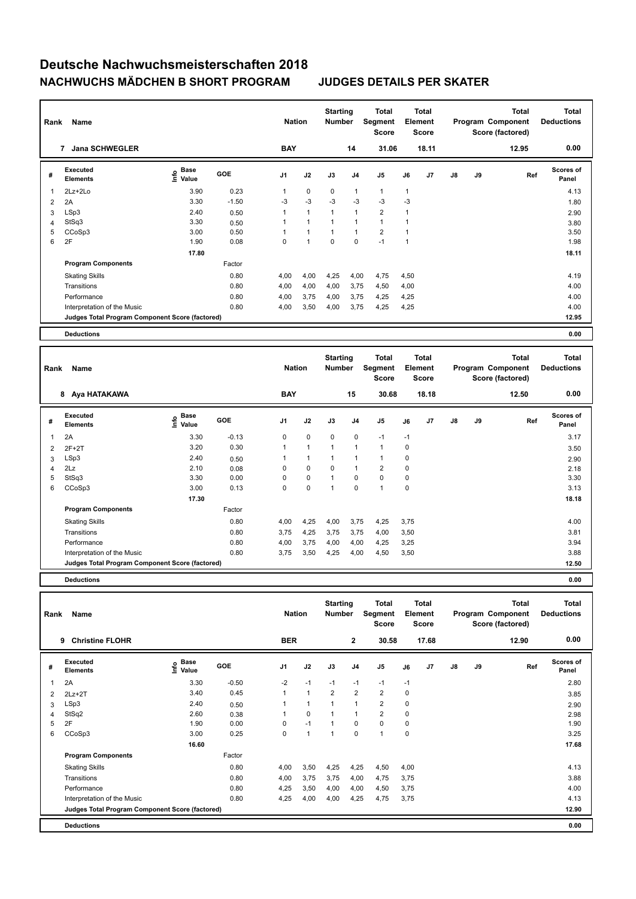| Rank           | Name                                            |                           |         | <b>Nation</b>  |                | <b>Starting</b><br><b>Number</b> |                | Total<br>Segment<br>Score |              | <b>Total</b><br>Element<br>Score |               |    | Total<br>Program Component<br>Score (factored) | <b>Total</b><br><b>Deductions</b> |
|----------------|-------------------------------------------------|---------------------------|---------|----------------|----------------|----------------------------------|----------------|---------------------------|--------------|----------------------------------|---------------|----|------------------------------------------------|-----------------------------------|
|                | <b>Jana SCHWEGLER</b><br>7                      |                           |         | <b>BAY</b>     |                |                                  | 14             | 31.06                     |              | 18.11                            |               |    | 12.95                                          | 0.00                              |
| #              | Executed<br><b>Elements</b>                     | Base<br>o Base<br>⊆ Value | GOE     | J <sub>1</sub> | J2             | J3                               | J <sub>4</sub> | J5                        | J6           | J7                               | $\mathsf{J}8$ | J9 | Ref                                            | <b>Scores of</b><br>Panel         |
| $\overline{1}$ | 2Lz+2Lo                                         | 3.90                      | 0.23    | 1              | $\mathbf 0$    | $\mathbf 0$                      | $\mathbf{1}$   | $\mathbf{1}$              | $\mathbf{1}$ |                                  |               |    |                                                | 4.13                              |
| 2              | 2A                                              | 3.30                      | $-1.50$ | $-3$           | $-3$           | $-3$                             | $-3$           | $-3$                      | $-3$         |                                  |               |    |                                                | 1.80                              |
| 3              | LSp3                                            | 2.40                      | 0.50    |                | $\mathbf{1}$   |                                  | $\mathbf{1}$   | $\overline{2}$            | 1            |                                  |               |    |                                                | 2.90                              |
| 4              | StSq3                                           | 3.30                      | 0.50    |                | $\overline{1}$ |                                  | 1              | $\mathbf{1}$              |              |                                  |               |    |                                                | 3.80                              |
| 5              | CCoSp3                                          | 3.00                      | 0.50    |                | $\overline{1}$ |                                  | $\mathbf{1}$   | $\overline{2}$            |              |                                  |               |    |                                                | 3.50                              |
| 6              | 2F                                              | 1.90                      | 0.08    | $\Omega$       | $\overline{1}$ | $\mathbf 0$                      | $\mathbf 0$    | $-1$                      | 1            |                                  |               |    |                                                | 1.98                              |
|                |                                                 | 17.80                     |         |                |                |                                  |                |                           |              |                                  |               |    |                                                | 18.11                             |
|                | <b>Program Components</b>                       |                           | Factor  |                |                |                                  |                |                           |              |                                  |               |    |                                                |                                   |
|                | <b>Skating Skills</b>                           |                           | 0.80    | 4,00           | 4,00           | 4,25                             | 4,00           | 4,75                      | 4,50         |                                  |               |    |                                                | 4.19                              |
|                | Transitions                                     |                           | 0.80    | 4,00           | 4,00           | 4,00                             | 3,75           | 4,50                      | 4,00         |                                  |               |    |                                                | 4.00                              |
|                | Performance                                     |                           | 0.80    | 4,00           | 3,75           | 4,00                             | 3,75           | 4,25                      | 4,25         |                                  |               |    |                                                | 4.00                              |
|                | Interpretation of the Music                     |                           | 0.80    | 4,00           | 3,50           | 4,00                             | 3,75           | 4,25                      | 4,25         |                                  |               |    |                                                | 4.00                              |
|                | Judges Total Program Component Score (factored) |                           |         |                |                |                                  |                |                           |              |                                  |               |    |                                                | 12.95                             |
|                | <b>Deductions</b>                               |                           |         |                |                |                                  |                |                           |              |                                  |               |    |                                                | 0.00                              |

| Rank | Name                                            |                   | <b>Nation</b> |                | <b>Starting</b><br><b>Number</b> |                | <b>Total</b><br>Segment<br><b>Score</b> |                | Total<br>Element<br>Score |                |    | <b>Total</b><br>Program Component<br>Score (factored) | <b>Total</b><br><b>Deductions</b> |                           |
|------|-------------------------------------------------|-------------------|---------------|----------------|----------------------------------|----------------|-----------------------------------------|----------------|---------------------------|----------------|----|-------------------------------------------------------|-----------------------------------|---------------------------|
|      | 8 Aya HATAKAWA                                  |                   |               | <b>BAY</b>     |                                  |                | 15                                      | 30.68          |                           | 18.18          |    |                                                       | 12.50                             | 0.00                      |
| #    | <b>Executed</b><br><b>Elements</b>              | e Base<br>E Value | <b>GOE</b>    | J <sub>1</sub> | J2                               | J3             | J <sub>4</sub>                          | J <sub>5</sub> | J6                        | J <sub>7</sub> | J8 | J9                                                    | Ref                               | <b>Scores of</b><br>Panel |
| 1    | 2A                                              | 3.30              | $-0.13$       | 0              | $\mathbf 0$                      | $\mathbf 0$    | 0                                       | $-1$           | $-1$                      |                |    |                                                       |                                   | 3.17                      |
| 2    | $2F+2T$                                         | 3.20              | 0.30          | 1              | $\overline{1}$                   | 1              | $\overline{1}$                          | $\overline{1}$ | 0                         |                |    |                                                       |                                   | 3.50                      |
| 3    | LSp3                                            | 2.40              | 0.50          |                | $\mathbf{1}$                     |                | $\overline{\phantom{a}}$                | $\mathbf{1}$   | 0                         |                |    |                                                       |                                   | 2.90                      |
| 4    | 2Lz                                             | 2.10              | 0.08          | 0              | 0                                | 0              | $\overline{1}$                          | $\overline{2}$ | 0                         |                |    |                                                       |                                   | 2.18                      |
| 5    | StSq3                                           | 3.30              | 0.00          | 0              | $\mathbf 0$                      | $\overline{1}$ | 0                                       | $\mathbf 0$    | 0                         |                |    |                                                       |                                   | 3.30                      |
| 6    | CCoSp3                                          | 3.00              | 0.13          | 0              | $\mathbf 0$                      | и              | 0                                       | $\overline{1}$ | 0                         |                |    |                                                       |                                   | 3.13                      |
|      |                                                 | 17.30             |               |                |                                  |                |                                         |                |                           |                |    |                                                       |                                   | 18.18                     |
|      | <b>Program Components</b>                       |                   | Factor        |                |                                  |                |                                         |                |                           |                |    |                                                       |                                   |                           |
|      | <b>Skating Skills</b>                           |                   | 0.80          | 4,00           | 4,25                             | 4,00           | 3,75                                    | 4,25           | 3,75                      |                |    |                                                       |                                   | 4.00                      |
|      | Transitions                                     |                   | 0.80          | 3,75           | 4,25                             | 3,75           | 3,75                                    | 4,00           | 3,50                      |                |    |                                                       |                                   | 3.81                      |
|      | Performance                                     |                   | 0.80          | 4,00           | 3,75                             | 4,00           | 4,00                                    | 4,25           | 3,25                      |                |    |                                                       |                                   | 3.94                      |
|      | Interpretation of the Music                     |                   | 0.80          | 3,75           | 3,50                             | 4,25           | 4,00                                    | 4,50           | 3,50                      |                |    |                                                       |                                   | 3.88                      |
|      | Judges Total Program Component Score (factored) |                   |               |                |                                  |                |                                         |                |                           |                |    |                                                       |                                   | 12.50                     |
|      |                                                 |                   |               |                |                                  |                |                                         |                |                           |                |    |                                                       |                                   |                           |

**Deductions 0.00**

| Rank           | Name                                            |                       |            | <b>Nation</b>  |                      | <b>Starting</b><br><b>Number</b> |                | Total<br>Segment<br><b>Score</b> | Element | <b>Total</b><br><b>Score</b> |               |    | Total<br>Program Component<br>Score (factored) | Total<br><b>Deductions</b> |
|----------------|-------------------------------------------------|-----------------------|------------|----------------|----------------------|----------------------------------|----------------|----------------------------------|---------|------------------------------|---------------|----|------------------------------------------------|----------------------------|
|                | 9<br><b>Christine FLOHR</b>                     |                       |            | <b>BER</b>     |                      |                                  | $\mathbf{2}$   | 30.58                            |         | 17.68                        |               |    | 12.90                                          | 0.00                       |
| #              | <b>Executed</b><br><b>Elements</b>              | $E$ Base<br>$E$ Value | <b>GOE</b> | J <sub>1</sub> | J2                   | J3                               | J <sub>4</sub> | J5                               | J6      | J7                           | $\mathsf{J}8$ | J9 | Ref                                            | <b>Scores of</b><br>Panel  |
| 1              | 2A                                              | 3.30                  | $-0.50$    | $-2$           | $-1$                 | $-1$                             | $-1$           | $-1$                             | $-1$    |                              |               |    |                                                | 2.80                       |
| $\overline{2}$ | $2Lz+2T$                                        | 3.40                  | 0.45       | $\mathbf{1}$   | $\blacktriangleleft$ | 2                                | $\overline{2}$ | $\overline{2}$                   | 0       |                              |               |    |                                                | 3.85                       |
| 3              | LSp3                                            | 2.40                  | 0.50       |                | 1                    |                                  | $\mathbf{1}$   | $\overline{2}$                   | 0       |                              |               |    |                                                | 2.90                       |
| 4              | StSq2                                           | 2.60                  | 0.38       |                | $\pmb{0}$            |                                  | $\mathbf{1}$   | $\overline{\mathbf{c}}$          | 0       |                              |               |    |                                                | 2.98                       |
| 5              | 2F                                              | 1.90                  | 0.00       | 0              | $-1$                 | 1                                | 0              | 0                                | 0       |                              |               |    |                                                | 1.90                       |
| 6              | CCoSp3                                          | 3.00                  | 0.25       | 0              | $\mathbf{1}$         | 1                                | 0              | $\mathbf{1}$                     | 0       |                              |               |    |                                                | 3.25                       |
|                |                                                 | 16.60                 |            |                |                      |                                  |                |                                  |         |                              |               |    |                                                | 17.68                      |
|                | <b>Program Components</b>                       |                       | Factor     |                |                      |                                  |                |                                  |         |                              |               |    |                                                |                            |
|                | <b>Skating Skills</b>                           |                       | 0.80       | 4,00           | 3,50                 | 4,25                             | 4,25           | 4,50                             | 4,00    |                              |               |    |                                                | 4.13                       |
|                | Transitions                                     |                       | 0.80       | 4,00           | 3,75                 | 3,75                             | 4,00           | 4,75                             | 3,75    |                              |               |    |                                                | 3.88                       |
|                | Performance                                     |                       | 0.80       | 4,25           | 3,50                 | 4,00                             | 4,00           | 4,50                             | 3,75    |                              |               |    |                                                | 4.00                       |
|                | Interpretation of the Music                     |                       | 0.80       | 4,25           | 4,00                 | 4,00                             | 4,25           | 4,75                             | 3,75    |                              |               |    |                                                | 4.13                       |
|                | Judges Total Program Component Score (factored) |                       |            |                |                      |                                  |                |                                  |         |                              |               |    |                                                | 12.90                      |
|                | <b>Deductions</b>                               |                       |            |                |                      |                                  |                |                                  |         |                              |               |    |                                                | 0.00                       |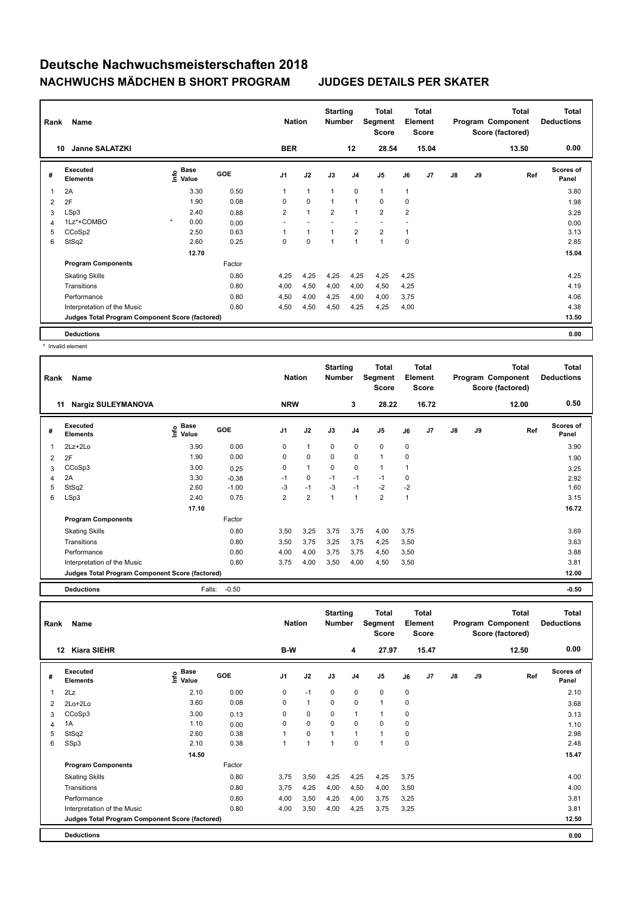| Rank | Name<br><b>Janne SALATZKI</b><br>10             |         |                                  |        | <b>Nation</b>  |                | <b>Starting</b><br><b>Number</b> |                | Total<br>Segment<br><b>Score</b> |                | <b>Total</b><br>Element<br><b>Score</b> |               |    | <b>Total</b><br>Program Component<br>Score (factored) | <b>Total</b><br><b>Deductions</b> |
|------|-------------------------------------------------|---------|----------------------------------|--------|----------------|----------------|----------------------------------|----------------|----------------------------------|----------------|-----------------------------------------|---------------|----|-------------------------------------------------------|-----------------------------------|
|      |                                                 |         |                                  |        | <b>BER</b>     |                |                                  | 12             | 28.54                            |                | 15.04                                   |               |    | 13.50                                                 | 0.00                              |
| #    | Executed<br><b>Elements</b>                     |         | <b>Base</b><br>o Base<br>⊆ Value | GOE    | J <sub>1</sub> | J2             | J3                               | J <sub>4</sub> | J <sub>5</sub>                   | J6             | J <sub>7</sub>                          | $\mathsf{J}8$ | J9 | Ref                                                   | <b>Scores of</b><br>Panel         |
| 1    | 2A                                              |         | 3.30                             | 0.50   | 1              | $\mathbf{1}$   | $\mathbf{1}$                     | $\mathbf 0$    | $\mathbf{1}$                     | $\mathbf{1}$   |                                         |               |    |                                                       | 3.80                              |
| 2    | 2F                                              |         | 1.90                             | 0.08   | 0              | $\mathbf 0$    | $\overline{1}$                   | $\mathbf{1}$   | $\mathbf 0$                      | $\mathbf 0$    |                                         |               |    |                                                       | 1.98                              |
| 3    | LSp3                                            |         | 2.40                             | 0.88   | $\overline{2}$ | $\overline{1}$ | $\overline{2}$                   | $\overline{1}$ | $\overline{2}$                   | $\overline{2}$ |                                         |               |    |                                                       | 3.28                              |
| 4    | 1Lz*+COMBO                                      | $\star$ | 0.00                             | 0.00   |                |                |                                  |                | $\overline{\phantom{a}}$         |                |                                         |               |    |                                                       | 0.00                              |
| 5    | CCoSp2                                          |         | 2.50                             | 0.63   |                | $\overline{1}$ | $\overline{1}$                   | $\overline{2}$ | $\overline{2}$                   | 1              |                                         |               |    |                                                       | 3.13                              |
| 6    | StSq2                                           |         | 2.60                             | 0.25   | 0              | $\Omega$       | $\overline{1}$                   | $\overline{1}$ | $\overline{1}$                   | $\Omega$       |                                         |               |    |                                                       | 2.85                              |
|      |                                                 |         | 12.70                            |        |                |                |                                  |                |                                  |                |                                         |               |    |                                                       | 15.04                             |
|      | <b>Program Components</b>                       |         |                                  | Factor |                |                |                                  |                |                                  |                |                                         |               |    |                                                       |                                   |
|      | <b>Skating Skills</b>                           |         |                                  | 0.80   | 4,25           | 4,25           | 4,25                             | 4,25           | 4,25                             | 4,25           |                                         |               |    |                                                       | 4.25                              |
|      | Transitions                                     |         |                                  | 0.80   | 4,00           | 4,50           | 4,00                             | 4,00           | 4,50                             | 4,25           |                                         |               |    |                                                       | 4.19                              |
|      | Performance                                     |         |                                  | 0.80   | 4,50           | 4,00           | 4,25                             | 4,00           | 4,00                             | 3,75           |                                         |               |    |                                                       | 4.06                              |
|      | Interpretation of the Music                     |         |                                  | 0.80   | 4,50           | 4,50           | 4,50                             | 4,25           | 4,25                             | 4,00           |                                         |               |    |                                                       | 4.38                              |
|      | Judges Total Program Component Score (factored) |         |                                  |        |                |                |                                  |                |                                  |                |                                         |               |    |                                                       | 13.50                             |
|      | <b>Deductions</b>                               |         |                                  |        |                |                |                                  |                |                                  |                |                                         |               |    |                                                       | 0.00                              |

\* Invalid element

| Rank           | Name                                            |                              |            | <b>Nation</b>  |                | <b>Starting</b><br><b>Number</b> |                | Total<br>Segment<br><b>Score</b> |              | Total<br>Element<br><b>Score</b> |               |    | <b>Total</b><br>Program Component<br>Score (factored) | <b>Total</b><br><b>Deductions</b> |
|----------------|-------------------------------------------------|------------------------------|------------|----------------|----------------|----------------------------------|----------------|----------------------------------|--------------|----------------------------------|---------------|----|-------------------------------------------------------|-----------------------------------|
|                | 11<br><b>Nargiz SULEYMANOVA</b>                 |                              |            | <b>NRW</b>     |                |                                  | 3              | 28.22                            |              | 16.72                            |               |    | 12.00                                                 | 0.50                              |
| #              | Executed<br><b>Elements</b>                     | <b>Base</b><br>١nfo<br>Value | <b>GOE</b> | J <sub>1</sub> | J2             | J3                               | J <sub>4</sub> | J5                               | J6           | J <sub>7</sub>                   | $\mathsf{J}8$ | J9 | Ref                                                   | <b>Scores of</b><br>Panel         |
| 1              | $2Lz+2Lo$                                       | 3.90                         | 0.00       | 0              | $\mathbf{1}$   | 0                                | 0              | 0                                | 0            |                                  |               |    |                                                       | 3.90                              |
| $\overline{2}$ | 2F                                              | 1.90                         | 0.00       | 0              | $\mathbf 0$    | 0                                | $\mathbf 0$    | $\overline{1}$                   | 0            |                                  |               |    |                                                       | 1.90                              |
| 3              | CCoSp3                                          | 3.00                         | 0.25       | 0              | $\mathbf{1}$   | 0                                | 0              | 1                                | 1            |                                  |               |    |                                                       | 3.25                              |
| 4              | 2A                                              | 3.30                         | $-0.38$    | $-1$           | $\mathbf 0$    | $-1$                             | $-1$           | $-1$                             | 0            |                                  |               |    |                                                       | 2.92                              |
| 5              | StSq2                                           | 2.60                         | $-1.00$    | -3             | $-1$           | -3                               | $-1$           | $-2$                             | $-2$         |                                  |               |    |                                                       | 1.60                              |
| 6              | LSp3                                            | 2.40                         | 0.75       | $\overline{2}$ | $\overline{2}$ | $\overline{1}$                   | $\overline{1}$ | $\overline{2}$                   | $\mathbf{1}$ |                                  |               |    |                                                       | 3.15                              |
|                |                                                 | 17.10                        |            |                |                |                                  |                |                                  |              |                                  |               |    |                                                       | 16.72                             |
|                | <b>Program Components</b>                       |                              | Factor     |                |                |                                  |                |                                  |              |                                  |               |    |                                                       |                                   |
|                | <b>Skating Skills</b>                           |                              | 0.80       | 3,50           | 3,25           | 3,75                             | 3,75           | 4,00                             | 3,75         |                                  |               |    |                                                       | 3.69                              |
|                | Transitions                                     |                              | 0.80       | 3,50           | 3,75           | 3,25                             | 3,75           | 4,25                             | 3,50         |                                  |               |    |                                                       | 3.63                              |
|                | Performance                                     |                              | 0.80       | 4,00           | 4,00           | 3,75                             | 3,75           | 4,50                             | 3,50         |                                  |               |    |                                                       | 3.88                              |
|                | Interpretation of the Music                     |                              | 0.80       | 3,75           | 4,00           | 3,50                             | 4,00           | 4,50                             | 3,50         |                                  |               |    |                                                       | 3.81                              |
|                | Judges Total Program Component Score (factored) |                              |            |                |                |                                  |                |                                  |              |                                  |               |    |                                                       | 12.00                             |

**Deductions** Falls: -0.50 **-0.50**

| Rank           | Name                                            |                                  |            | <b>Nation</b>  |                      | <b>Starting</b><br><b>Number</b> |          | <b>Total</b><br>Segment<br><b>Score</b> |      | <b>Total</b><br>Element<br><b>Score</b> |               |    | <b>Total</b><br>Program Component<br>Score (factored) | <b>Total</b><br><b>Deductions</b> |
|----------------|-------------------------------------------------|----------------------------------|------------|----------------|----------------------|----------------------------------|----------|-----------------------------------------|------|-----------------------------------------|---------------|----|-------------------------------------------------------|-----------------------------------|
|                | <b>Kiara SIEHR</b><br>12                        |                                  |            | B-W            |                      |                                  | 4        | 27.97                                   |      | 15.47                                   |               |    | 12.50                                                 | 0.00                              |
| #              | Executed<br><b>Elements</b>                     | <b>Base</b><br>e Base<br>⊆ Value | <b>GOE</b> | J <sub>1</sub> | J2                   | J3                               | J4       | J <sub>5</sub>                          | J6   | J7                                      | $\mathsf{J}8$ | J9 | Ref                                                   | Scores of<br>Panel                |
| $\overline{1}$ | 2Lz                                             | 2.10                             | 0.00       | 0              | $-1$                 | 0                                | 0        | $\mathbf 0$                             | 0    |                                         |               |    |                                                       | 2.10                              |
| $\overline{2}$ | 2Lo+2Lo                                         | 3.60                             | 0.08       | 0              | $\mathbf{1}$         | $\mathbf 0$                      | $\Omega$ | $\mathbf{1}$                            | 0    |                                         |               |    |                                                       | 3.68                              |
| 3              | CCoSp3                                          | 3.00                             | 0.13       | 0              | $\mathbf 0$          | $\mathbf 0$                      |          | $\mathbf{1}$                            | 0    |                                         |               |    |                                                       | 3.13                              |
| 4              | 1A                                              | 1.10                             | 0.00       | 0              | $\mathbf 0$          | $\mathbf 0$                      | 0        | $\mathbf 0$                             | 0    |                                         |               |    |                                                       | 1.10                              |
| 5              | StSq2                                           | 2.60                             | 0.38       | 1              | $\mathbf 0$          | $\mathbf{1}$                     |          | $\mathbf{1}$                            | 0    |                                         |               |    |                                                       | 2.98                              |
| 6              | SSp3                                            | 2.10                             | 0.38       | $\mathbf{1}$   | $\blacktriangleleft$ | $\overline{1}$                   | 0        | $\mathbf{1}$                            | 0    |                                         |               |    |                                                       | 2.48                              |
|                |                                                 | 14.50                            |            |                |                      |                                  |          |                                         |      |                                         |               |    |                                                       | 15.47                             |
|                | <b>Program Components</b>                       |                                  | Factor     |                |                      |                                  |          |                                         |      |                                         |               |    |                                                       |                                   |
|                | <b>Skating Skills</b>                           |                                  | 0.80       | 3,75           | 3,50                 | 4,25                             | 4,25     | 4,25                                    | 3,75 |                                         |               |    |                                                       | 4.00                              |
|                | Transitions                                     |                                  | 0.80       | 3,75           | 4,25                 | 4,00                             | 4,50     | 4,00                                    | 3,50 |                                         |               |    |                                                       | 4.00                              |
|                | Performance                                     |                                  | 0.80       | 4,00           | 3,50                 | 4,25                             | 4,00     | 3,75                                    | 3,25 |                                         |               |    |                                                       | 3.81                              |
|                | Interpretation of the Music                     |                                  | 0.80       | 4,00           | 3,50                 | 4,00                             | 4,25     | 3,75                                    | 3,25 |                                         |               |    |                                                       | 3.81                              |
|                | Judges Total Program Component Score (factored) |                                  |            |                |                      |                                  |          |                                         |      |                                         |               |    |                                                       | 12.50                             |
|                | <b>Deductions</b>                               |                                  |            |                |                      |                                  |          |                                         |      |                                         |               |    |                                                       | 0.00                              |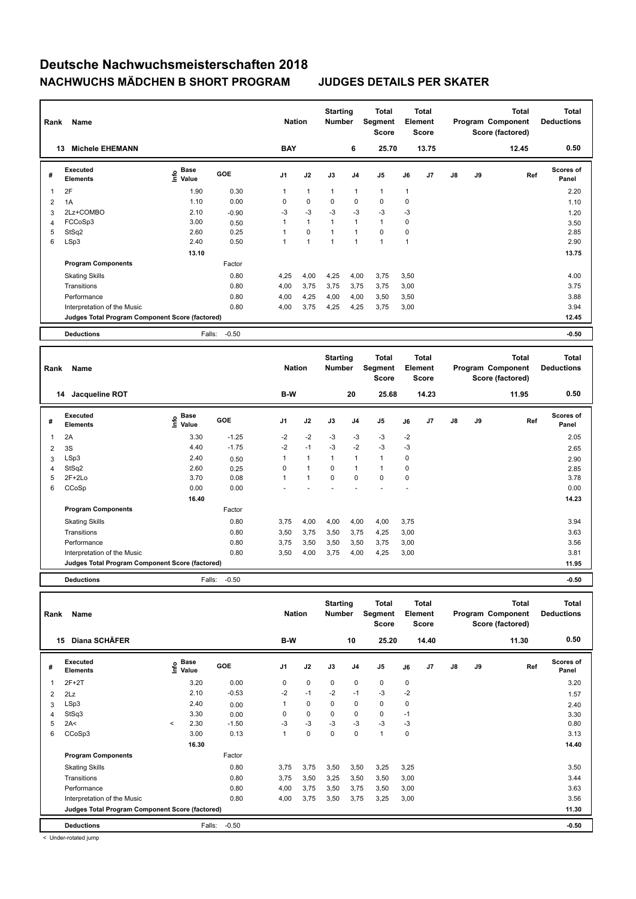| Rank           | Name                                            |                                  |            | <b>Nation</b>  |              | <b>Starting</b><br><b>Number</b> |                | <b>Total</b><br>Segment<br><b>Score</b> |      | <b>Total</b><br>Element<br><b>Score</b> |               |    | Total<br>Program Component<br>Score (factored) | <b>Total</b><br><b>Deductions</b> |
|----------------|-------------------------------------------------|----------------------------------|------------|----------------|--------------|----------------------------------|----------------|-----------------------------------------|------|-----------------------------------------|---------------|----|------------------------------------------------|-----------------------------------|
| 13             | <b>Michele EHEMANN</b>                          |                                  |            | <b>BAY</b>     |              |                                  | 6              | 25.70                                   |      | 13.75                                   |               |    | 12.45                                          | 0.50                              |
| #              | Executed<br><b>Elements</b>                     | <b>Base</b><br>e Base<br>⊆ Value | <b>GOE</b> | J <sub>1</sub> | J2           | J3                               | J <sub>4</sub> | J <sub>5</sub>                          | J6   | J7                                      | $\mathsf{J}8$ | J9 | Ref                                            | <b>Scores of</b><br>Panel         |
| 1              | 2F                                              | 1.90                             | 0.30       |                | $\mathbf{1}$ | $\mathbf{1}$                     | $\mathbf{1}$   | $\mathbf{1}$                            | 1    |                                         |               |    |                                                | 2.20                              |
| $\overline{2}$ | 1A                                              | 1.10                             | 0.00       | 0              | $\mathbf 0$  | 0                                | $\pmb{0}$      | 0                                       | 0    |                                         |               |    |                                                | 1.10                              |
| 3              | 2Lz+COMBO                                       | 2.10                             | $-0.90$    | $-3$           | $-3$         | $-3$                             | $-3$           | $-3$                                    | $-3$ |                                         |               |    |                                                | 1.20                              |
| 4              | FCCoSp3                                         | 3.00                             | 0.50       |                | $\mathbf{1}$ | $\mathbf{1}$                     | $\mathbf{1}$   | $\mathbf{1}$                            | 0    |                                         |               |    |                                                | 3.50                              |
| 5              | StSq2                                           | 2.60                             | 0.25       |                | $\mathbf 0$  | $\mathbf{1}$                     | $\mathbf{1}$   | 0                                       | 0    |                                         |               |    |                                                | 2.85                              |
| 6              | LSp3                                            | 2.40                             | 0.50       |                | $\mathbf{1}$ | $\mathbf{1}$                     | $\mathbf{1}$   | $\overline{1}$                          | 1    |                                         |               |    |                                                | 2.90                              |
|                |                                                 | 13.10                            |            |                |              |                                  |                |                                         |      |                                         |               |    |                                                | 13.75                             |
|                | <b>Program Components</b>                       |                                  | Factor     |                |              |                                  |                |                                         |      |                                         |               |    |                                                |                                   |
|                | <b>Skating Skills</b>                           |                                  | 0.80       | 4,25           | 4,00         | 4,25                             | 4,00           | 3,75                                    | 3,50 |                                         |               |    |                                                | 4.00                              |
|                | Transitions                                     |                                  | 0.80       | 4,00           | 3,75         | 3,75                             | 3,75           | 3,75                                    | 3,00 |                                         |               |    |                                                | 3.75                              |
|                | Performance                                     |                                  | 0.80       | 4,00           | 4,25         | 4,00                             | 4,00           | 3,50                                    | 3,50 |                                         |               |    |                                                | 3.88                              |
|                | Interpretation of the Music                     |                                  | 0.80       | 4,00           | 3,75         | 4,25                             | 4,25           | 3,75                                    | 3,00 |                                         |               |    |                                                | 3.94                              |
|                | Judges Total Program Component Score (factored) |                                  |            |                |              |                                  |                |                                         |      |                                         |               |    |                                                | 12.45                             |
|                | <b>Deductions</b>                               | Falls:                           | $-0.50$    |                |              |                                  |                |                                         |      |                                         |               |    |                                                | $-0.50$                           |
|                |                                                 |                                  |            |                |              |                                  |                |                                         |      |                                         |               |    |                                                |                                   |

| Rank           | Name                                            |                           |            | <b>Nation</b>  |                | <b>Starting</b><br><b>Number</b> |                         | <b>Total</b><br>Segment<br><b>Score</b> |      | <b>Total</b><br>Element<br><b>Score</b> |               |    | <b>Total</b><br>Program Component<br>Score (factored) | <b>Total</b><br><b>Deductions</b> |
|----------------|-------------------------------------------------|---------------------------|------------|----------------|----------------|----------------------------------|-------------------------|-----------------------------------------|------|-----------------------------------------|---------------|----|-------------------------------------------------------|-----------------------------------|
|                | Jacqueline ROT<br>14                            |                           |            | B-W            |                |                                  | 20                      | 25.68                                   |      | 14.23                                   |               |    | 11.95                                                 | 0.50                              |
| #              | <b>Executed</b><br><b>Elements</b>              | <b>Base</b><br>۴<br>Value | <b>GOE</b> | J <sub>1</sub> | J2             | J3                               | J4                      | J <sub>5</sub>                          | J6   | J <sub>7</sub>                          | $\mathsf{J}8$ | J9 | Ref                                                   | <b>Scores of</b><br>Panel         |
|                | 2A                                              | 3.30                      | $-1.25$    | $-2$           | $-2$           | $-3$                             | $-3$                    | $-3$                                    | $-2$ |                                         |               |    |                                                       | 2.05                              |
| $\overline{2}$ | 3S                                              | 4.40                      | $-1.75$    | $-2$           | $-1$           | $-3$                             | $-2$                    | $-3$                                    | $-3$ |                                         |               |    |                                                       | 2.65                              |
| 3              | LSp3                                            | 2.40                      | 0.50       |                | $\overline{1}$ | 1                                | $\overline{1}$          | $\overline{1}$                          | 0    |                                         |               |    |                                                       | 2.90                              |
| 4              | StSq2                                           | 2.60                      | 0.25       | 0              | $\mathbf{1}$   | 0                                | $\overline{\mathbf{1}}$ | $\mathbf{1}$                            | 0    |                                         |               |    |                                                       | 2.85                              |
| 5              | $2F+2Lo$                                        | 3.70                      | 0.08       | 1              | $\overline{1}$ | $\mathbf 0$                      | $\mathbf 0$             | $\mathbf 0$                             | 0    |                                         |               |    |                                                       | 3.78                              |
| 6              | CCoSp                                           | 0.00                      | 0.00       |                |                |                                  |                         |                                         |      |                                         |               |    |                                                       | 0.00                              |
|                |                                                 | 16.40                     |            |                |                |                                  |                         |                                         |      |                                         |               |    |                                                       | 14.23                             |
|                | <b>Program Components</b>                       |                           | Factor     |                |                |                                  |                         |                                         |      |                                         |               |    |                                                       |                                   |
|                | <b>Skating Skills</b>                           |                           | 0.80       | 3,75           | 4,00           | 4,00                             | 4,00                    | 4,00                                    | 3,75 |                                         |               |    |                                                       | 3.94                              |
|                | Transitions                                     |                           | 0.80       | 3,50           | 3,75           | 3,50                             | 3,75                    | 4,25                                    | 3,00 |                                         |               |    |                                                       | 3.63                              |
|                | Performance                                     |                           | 0.80       | 3,75           | 3,50           | 3,50                             | 3,50                    | 3,75                                    | 3,00 |                                         |               |    |                                                       | 3.56                              |
|                | Interpretation of the Music                     |                           | 0.80       | 3,50           | 4,00           | 3,75                             | 4,00                    | 4,25                                    | 3,00 |                                         |               |    |                                                       | 3.81                              |
|                | Judges Total Program Component Score (factored) |                           |            |                |                |                                  |                         |                                         |      |                                         |               |    |                                                       | 11.95                             |
|                | <b>Deductions</b>                               | Falls:                    | $-0.50$    |                |                |                                  |                         |                                         |      |                                         |               |    |                                                       | $-0.50$                           |

| Rank           | Name                                            |                       |               |            | <b>Nation</b>  |             | <b>Starting</b><br><b>Number</b> |                | <b>Total</b><br>Segment<br>Score | Element     | <b>Total</b><br><b>Score</b> |               |    | <b>Total</b><br>Program Component<br>Score (factored) | <b>Total</b><br><b>Deductions</b> |
|----------------|-------------------------------------------------|-----------------------|---------------|------------|----------------|-------------|----------------------------------|----------------|----------------------------------|-------------|------------------------------|---------------|----|-------------------------------------------------------|-----------------------------------|
| 15             | Diana SCHÄFER                                   |                       |               |            | B-W            |             |                                  | 10             | 25.20                            |             | 14.40                        |               |    | 11.30                                                 | 0.50                              |
| #              | Executed<br><b>Elements</b>                     | $\mathop{\mathsf{E}}$ | Base<br>Value | <b>GOE</b> | J <sub>1</sub> | J2          | J3                               | J <sub>4</sub> | J <sub>5</sub>                   | J6          | J7                           | $\mathsf{J}8$ | J9 | Ref                                                   | <b>Scores of</b><br>Panel         |
|                | $2F+2T$                                         |                       | 3.20          | 0.00       | 0              | $\mathbf 0$ | $\mathbf 0$                      | $\mathbf 0$    | $\mathbf 0$                      | $\mathbf 0$ |                              |               |    |                                                       | 3.20                              |
| $\overline{2}$ | 2Lz                                             |                       | 2.10          | $-0.53$    | $-2$           | $-1$        | $-2$                             | $-1$           | $-3$                             | $-2$        |                              |               |    |                                                       | 1.57                              |
| 3              | LSp3                                            |                       | 2.40          | 0.00       |                | $\mathbf 0$ | 0                                | $\mathbf 0$    | $\mathbf 0$                      | 0           |                              |               |    |                                                       | 2.40                              |
| 4              | StSq3                                           |                       | 3.30          | 0.00       | 0              | $\mathbf 0$ | $\Omega$                         | $\mathbf 0$    | $\mathbf 0$                      | $-1$        |                              |               |    |                                                       | 3.30                              |
| 5              | 2A<                                             | $\prec$               | 2.30          | $-1.50$    | $-3$           | $-3$        | $-3$                             | $-3$           | $-3$                             | -3          |                              |               |    |                                                       | 0.80                              |
| 6              | CCoSp3                                          |                       | 3.00          | 0.13       | 1              | $\pmb{0}$   | 0                                | $\mathbf 0$    | $\overline{1}$                   | 0           |                              |               |    |                                                       | 3.13                              |
|                |                                                 |                       | 16.30         |            |                |             |                                  |                |                                  |             |                              |               |    |                                                       | 14.40                             |
|                | <b>Program Components</b>                       |                       |               | Factor     |                |             |                                  |                |                                  |             |                              |               |    |                                                       |                                   |
|                | <b>Skating Skills</b>                           |                       |               | 0.80       | 3,75           | 3,75        | 3,50                             | 3,50           | 3,25                             | 3,25        |                              |               |    |                                                       | 3.50                              |
|                | Transitions                                     |                       |               | 0.80       | 3,75           | 3,50        | 3,25                             | 3,50           | 3,50                             | 3,00        |                              |               |    |                                                       | 3.44                              |
|                | Performance                                     |                       |               | 0.80       | 4,00           | 3,75        | 3,50                             | 3,75           | 3,50                             | 3,00        |                              |               |    |                                                       | 3.63                              |
|                | Interpretation of the Music                     |                       |               | 0.80       | 4,00           | 3,75        | 3,50                             | 3,75           | 3,25                             | 3,00        |                              |               |    |                                                       | 3.56                              |
|                | Judges Total Program Component Score (factored) |                       |               |            |                |             |                                  |                |                                  |             |                              |               |    |                                                       | 11.30                             |
|                | <b>Deductions</b>                               |                       | Falls:        | $-0.50$    |                |             |                                  |                |                                  |             |                              |               |    |                                                       | $-0.50$                           |

< Under-rotated jump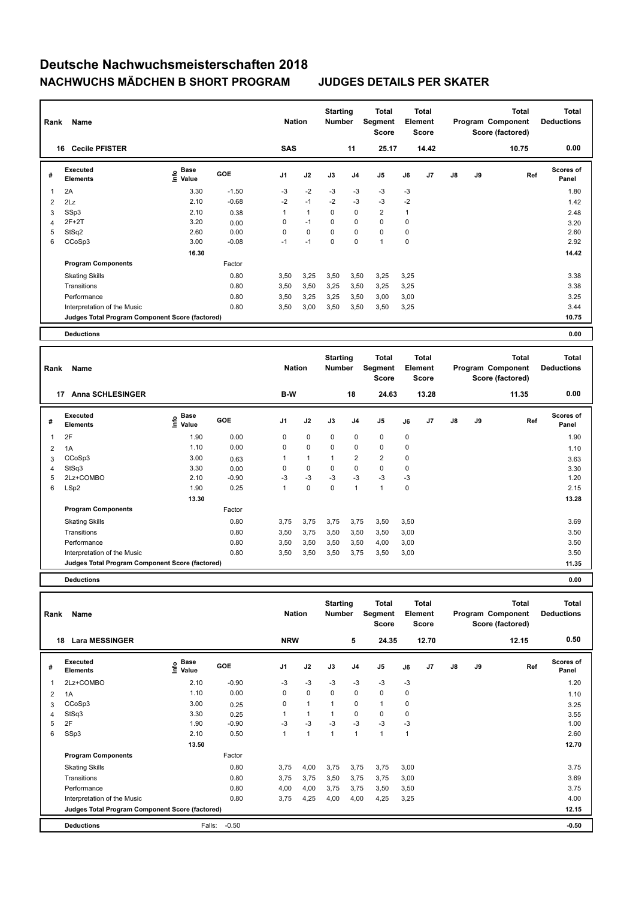| Rank           | Name                                            |                           |            | <b>Nation</b>  |              | <b>Starting</b><br><b>Number</b> |                | Total<br>Segment<br><b>Score</b> |      | <b>Total</b><br>Element<br><b>Score</b> |               |    | Total<br>Program Component<br>Score (factored) | Total<br><b>Deductions</b> |
|----------------|-------------------------------------------------|---------------------------|------------|----------------|--------------|----------------------------------|----------------|----------------------------------|------|-----------------------------------------|---------------|----|------------------------------------------------|----------------------------|
| 16             | <b>Cecile PFISTER</b>                           |                           |            | <b>SAS</b>     |              |                                  | 11             | 25.17                            |      | 14.42                                   |               |    | 10.75                                          | 0.00                       |
| #              | Executed<br><b>Elements</b>                     | Base<br>e Base<br>⊆ Value | <b>GOE</b> | J <sub>1</sub> | J2           | J3                               | J <sub>4</sub> | J5                               | J6   | J7                                      | $\mathsf{J}8$ | J9 | Ref                                            | <b>Scores of</b><br>Panel  |
| $\overline{1}$ | 2A                                              | 3.30                      | $-1.50$    | $-3$           | $-2$         | $-3$                             | $-3$           | $-3$                             | $-3$ |                                         |               |    |                                                | 1.80                       |
| 2              | 2Lz                                             | 2.10                      | $-0.68$    | $-2$           | $-1$         | $-2$                             | $-3$           | $-3$                             | $-2$ |                                         |               |    |                                                | 1.42                       |
| 3              | SSp3                                            | 2.10                      | 0.38       | 1              | $\mathbf{1}$ | 0                                | 0              | $\overline{2}$                   | 1    |                                         |               |    |                                                | 2.48                       |
| $\overline{4}$ | $2F+2T$                                         | 3.20                      | 0.00       | 0              | $-1$         | $\mathbf 0$                      | $\mathbf 0$    | $\mathbf 0$                      | 0    |                                         |               |    |                                                | 3.20                       |
| 5              | StSq2                                           | 2.60                      | 0.00       | 0              | $\mathbf 0$  | $\mathbf 0$                      | $\mathbf 0$    | $\mathbf 0$                      | 0    |                                         |               |    |                                                | 2.60                       |
| 6              | CCoSp3                                          | 3.00                      | $-0.08$    | $-1$           | $-1$         | 0                                | $\mathbf 0$    | $\mathbf{1}$                     | 0    |                                         |               |    |                                                | 2.92                       |
|                |                                                 | 16.30                     |            |                |              |                                  |                |                                  |      |                                         |               |    |                                                | 14.42                      |
|                | <b>Program Components</b>                       |                           | Factor     |                |              |                                  |                |                                  |      |                                         |               |    |                                                |                            |
|                | <b>Skating Skills</b>                           |                           | 0.80       | 3,50           | 3,25         | 3,50                             | 3,50           | 3,25                             | 3,25 |                                         |               |    |                                                | 3.38                       |
|                | Transitions                                     |                           | 0.80       | 3,50           | 3,50         | 3,25                             | 3,50           | 3,25                             | 3,25 |                                         |               |    |                                                | 3.38                       |
|                | Performance                                     |                           | 0.80       | 3,50           | 3,25         | 3,25                             | 3,50           | 3,00                             | 3,00 |                                         |               |    |                                                | 3.25                       |
|                | Interpretation of the Music                     |                           | 0.80       | 3,50           | 3,00         | 3,50                             | 3,50           | 3,50                             | 3,25 |                                         |               |    |                                                | 3.44                       |
|                | Judges Total Program Component Score (factored) |                           |            |                |              |                                  |                |                                  |      |                                         |               |    |                                                | 10.75                      |
|                | <b>Deductions</b>                               |                           |            |                |              |                                  |                |                                  |      |                                         |               |    |                                                | 0.00                       |

| Rank | Name                                            |                                    |            | <b>Nation</b>  |              | <b>Starting</b><br><b>Number</b> |                | Total<br><b>Segment</b><br><b>Score</b> |      | <b>Total</b><br>Element<br><b>Score</b> |               |    | <b>Total</b><br>Program Component<br>Score (factored) | Total<br><b>Deductions</b> |
|------|-------------------------------------------------|------------------------------------|------------|----------------|--------------|----------------------------------|----------------|-----------------------------------------|------|-----------------------------------------|---------------|----|-------------------------------------------------------|----------------------------|
|      | <b>Anna SCHLESINGER</b><br>17                   |                                    |            | B-W            |              |                                  | 18             | 24.63                                   |      | 13.28                                   |               |    | 11.35                                                 | 0.00                       |
| #    | Executed<br><b>Elements</b>                     | <b>Base</b><br>$\frac{6}{5}$ Value | <b>GOE</b> | J <sub>1</sub> | J2           | J3                               | J <sub>4</sub> | J <sub>5</sub>                          | J6   | J <sub>7</sub>                          | $\mathsf{J}8$ | J9 | Ref                                                   | <b>Scores of</b><br>Panel  |
| 1    | 2F                                              | 1.90                               | 0.00       | 0              | $\mathbf 0$  | 0                                | 0              | 0                                       | 0    |                                         |               |    |                                                       | 1.90                       |
| 2    | 1A                                              | 1.10                               | 0.00       | 0              | $\mathbf 0$  | 0                                | 0              | $\mathbf 0$                             | 0    |                                         |               |    |                                                       | 1.10                       |
| 3    | CCoSp3                                          | 3.00                               | 0.63       |                | $\mathbf{1}$ | 1                                | $\overline{2}$ | $\overline{2}$                          | 0    |                                         |               |    |                                                       | 3.63                       |
| 4    | StSq3                                           | 3.30                               | 0.00       | 0              | $\mathbf 0$  | 0                                | $\Omega$       | $\mathbf 0$                             | 0    |                                         |               |    |                                                       | 3.30                       |
| 5    | 2Lz+COMBO                                       | 2.10                               | $-0.90$    | -3             | $-3$         | $-3$                             | $-3$           | $-3$                                    | -3   |                                         |               |    |                                                       | 1.20                       |
| 6    | LSp2                                            | 1.90                               | 0.25       |                | $\pmb{0}$    | $\pmb{0}$                        | 1              | 1                                       | 0    |                                         |               |    |                                                       | 2.15                       |
|      |                                                 | 13.30                              |            |                |              |                                  |                |                                         |      |                                         |               |    |                                                       | 13.28                      |
|      | <b>Program Components</b>                       |                                    | Factor     |                |              |                                  |                |                                         |      |                                         |               |    |                                                       |                            |
|      | <b>Skating Skills</b>                           |                                    | 0.80       | 3,75           | 3,75         | 3,75                             | 3,75           | 3,50                                    | 3,50 |                                         |               |    |                                                       | 3.69                       |
|      | Transitions                                     |                                    | 0.80       | 3,50           | 3,75         | 3,50                             | 3,50           | 3,50                                    | 3,00 |                                         |               |    |                                                       | 3.50                       |
|      | Performance                                     |                                    | 0.80       | 3,50           | 3,50         | 3,50                             | 3,50           | 4,00                                    | 3,00 |                                         |               |    |                                                       | 3.50                       |
|      | Interpretation of the Music                     |                                    | 0.80       | 3,50           | 3,50         | 3,50                             | 3,75           | 3,50                                    | 3,00 |                                         |               |    |                                                       | 3.50                       |
|      | Judges Total Program Component Score (factored) |                                    |            |                |              |                                  |                |                                         |      |                                         |               |    |                                                       | 11.35                      |
|      |                                                 |                                    |            |                |              |                                  |                |                                         |      |                                         |               |    |                                                       |                            |

**Deductions 0.00**

|    | Name<br>Rank                                    |                                                                               |         |                | <b>Nation</b> |              | <b>Starting</b><br><b>Number</b> | Total<br>Segment<br><b>Score</b> | <b>Total</b><br>Element<br><b>Score</b> |       |               |    | Total<br>Program Component<br>Score (factored) | Total<br><b>Deductions</b> |  |
|----|-------------------------------------------------|-------------------------------------------------------------------------------|---------|----------------|---------------|--------------|----------------------------------|----------------------------------|-----------------------------------------|-------|---------------|----|------------------------------------------------|----------------------------|--|
| 18 | <b>Lara MESSINGER</b>                           |                                                                               |         | <b>NRW</b>     |               |              | 5                                | 24.35                            |                                         | 12.70 |               |    | 12.15                                          | 0.50                       |  |
| #  | <b>Executed</b><br><b>Elements</b>              | $\overset{\circ}{\text{\sf E}}$ Base<br>$\overset{\circ}{\text{\sf E}}$ Value | GOE     | J <sub>1</sub> | J2            | J3           | J <sub>4</sub>                   | J5                               | J6                                      | J7    | $\mathsf{J}8$ | J9 | Ref                                            | <b>Scores of</b><br>Panel  |  |
| 1  | 2Lz+COMBO                                       | 2.10                                                                          | $-0.90$ | -3             | -3            | -3           | $-3$                             | $-3$                             | $-3$                                    |       |               |    |                                                | 1.20                       |  |
| 2  | 1A                                              | 1.10                                                                          | 0.00    | 0              | $\mathbf 0$   | 0            | 0                                | $\mathbf 0$                      | 0                                       |       |               |    |                                                | 1.10                       |  |
| 3  | CCoSp3                                          | 3.00                                                                          | 0.25    | 0              | 1             |              | 0                                | $\mathbf{1}$                     | 0                                       |       |               |    |                                                | 3.25                       |  |
| 4  | StSq3                                           | 3.30                                                                          | 0.25    |                | $\mathbf{1}$  |              | 0                                | 0                                | 0                                       |       |               |    |                                                | 3.55                       |  |
| 5  | 2F                                              | 1.90                                                                          | $-0.90$ | -3             | $-3$          | $-3$         | -3                               | $-3$                             | -3                                      |       |               |    |                                                | 1.00                       |  |
| 6  | SSp3                                            | 2.10                                                                          | 0.50    | 1              | $\mathbf{1}$  | $\mathbf{1}$ | $\mathbf{1}$                     | $\mathbf{1}$                     | 1                                       |       |               |    |                                                | 2.60                       |  |
|    |                                                 | 13.50                                                                         |         |                |               |              |                                  |                                  |                                         |       |               |    |                                                | 12.70                      |  |
|    | <b>Program Components</b>                       |                                                                               | Factor  |                |               |              |                                  |                                  |                                         |       |               |    |                                                |                            |  |
|    | <b>Skating Skills</b>                           |                                                                               | 0.80    | 3,75           | 4,00          | 3,75         | 3,75                             | 3,75                             | 3,00                                    |       |               |    |                                                | 3.75                       |  |
|    | Transitions                                     |                                                                               | 0.80    | 3,75           | 3,75          | 3,50         | 3,75                             | 3,75                             | 3,00                                    |       |               |    |                                                | 3.69                       |  |
|    | Performance                                     |                                                                               | 0.80    | 4,00           | 4,00          | 3,75         | 3,75                             | 3,50                             | 3,50                                    |       |               |    |                                                | 3.75                       |  |
|    | Interpretation of the Music                     |                                                                               | 0.80    | 3,75           | 4,25          | 4,00         | 4,00                             | 4,25                             | 3,25                                    |       |               |    |                                                | 4.00                       |  |
|    | Judges Total Program Component Score (factored) |                                                                               |         |                |               |              |                                  |                                  |                                         |       |               |    |                                                | 12.15                      |  |
|    | <b>Deductions</b>                               | Falls:                                                                        | $-0.50$ |                |               |              |                                  |                                  |                                         |       |               |    |                                                | $-0.50$                    |  |